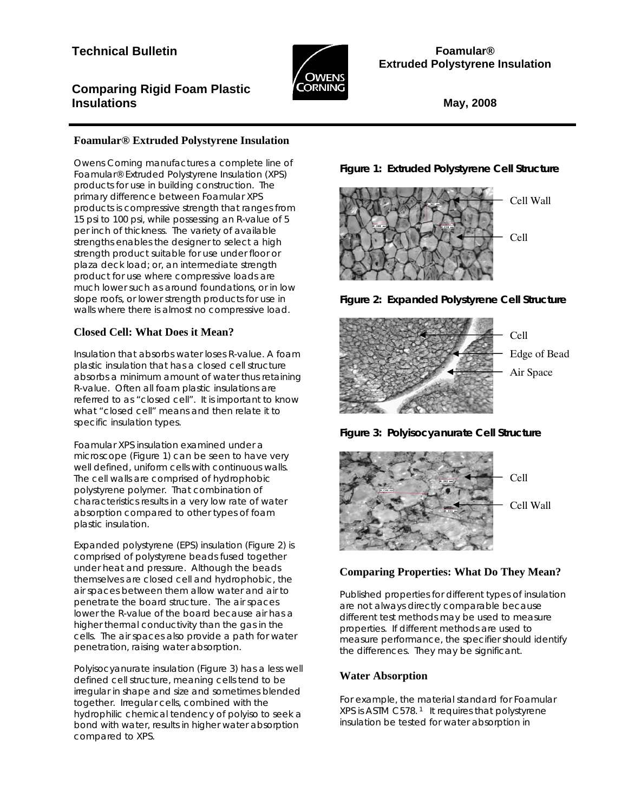# **Technical Bulletin**



**Foamular® Extruded Polystyrene Insulation** 

## **Comparing Rigid Foam Plastic Insulations**

**May, 2008**

## **Foamular® Extruded Polystyrene Insulation**

Owens Corning manufactures a complete line of Foamular® Extruded Polystyrene Insulation (XPS) products for use in building construction. The primary difference between Foamular XPS products is compressive strength that ranges from 15 psi to 100 psi, while possessing an R-value of 5 per inch of thickness. The variety of available strengths enables the designer to select a high strength product suitable for use under floor or plaza deck load; or, an intermediate strength product for use where compressive loads are much lower such as around foundations, or in low slope roofs, or lower strength products for use in walls where there is almost no compressive load.

## **Closed Cell: What Does it Mean?**

Insulation that absorbs water loses R-value. A foam plastic insulation that has a closed cell structure absorbs a minimum amount of water thus retaining R-value. Often all foam plastic insulations are referred to as "closed cell". It is important to know what "closed cell" means and then relate it to specific insulation types.

Foamular XPS insulation examined under a microscope (Figure 1) can be seen to have very well defined, uniform cells with continuous walls. The cell walls are comprised of hydrophobic polystyrene polymer. That combination of characteristics results in a very low rate of water absorption compared to other types of foam plastic insulation.

Expanded polystyrene (EPS) insulation (Figure 2) is comprised of polystyrene beads fused together under heat and pressure. Although the beads themselves are closed cell and hydrophobic, the air spaces between them allow water and air to penetrate the board structure. The air spaces lower the R-value of the board because air has a higher thermal conductivity than the gas in the cells. The air spaces also provide a path for water penetration, raising water absorption.

Polyisocyanurate insulation (Figure 3) has a less well defined cell structure, meaning cells tend to be irregular in shape and size and sometimes blended together. Irregular cells, combined with the hydrophilic chemical tendency of polyiso to seek a bond with water, results in higher water absorption compared to XPS.

**Figure 1: Extruded Polystyrene Cell Structure** 











## **Comparing Properties: What Do They Mean?**

Published properties for different types of insulation are not always directly comparable because different test methods may be used to measure properties. If different methods are used to measure performance, the specifier should identify the differences. They may be significant.

## **Water Absorption**

For example, the material standard for Foamular XPS is ASTM C578.<sup>1</sup> It requires that polystyrene insulation be tested for water absorption in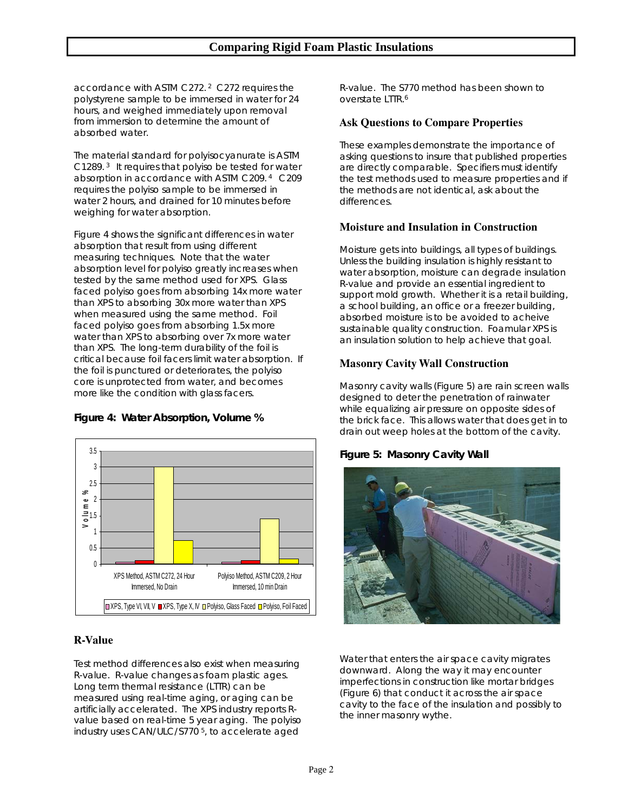accordance with ASTM C272. 2 C272 requires the polystyrene sample to be immersed in water for 24 hours, and weighed immediately upon removal from immersion to determine the amount of absorbed water.

The material standard for polyisocyanurate is ASTM C1289. 3 It requires that polyiso be tested for water absorption in accordance with ASTM C209. 4 C209 requires the polyiso sample to be immersed in water 2 hours, and drained for 10 minutes before weighing for water absorption.

Figure 4 shows the significant differences in water absorption that result from using different measuring techniques. Note that the water absorption level for polyiso greatly increases when tested by the same method used for XPS. Glass faced polyiso goes from absorbing 14x more water than XPS to absorbing 30x more water than XPS when measured using the same method. Foil faced polyiso goes from absorbing 1.5x more water than XPS to absorbing over 7x more water than XPS. The long-term durability of the foil is critical because foil facers limit water absorption. If the foil is punctured or deteriorates, the polyiso core is unprotected from water, and becomes more like the condition with glass facers.

### **Figure 4: Water Absorption, Volume %**



### **R-Value**

Test method differences also exist when measuring R-value. R-value changes as foam plastic ages. Long term thermal resistance (LTTR) can be measured using real-time aging, or aging can be artificially accelerated. The XPS industry reports Rvalue based on real-time 5 year aging. The polyiso industry uses CAN/ULC/S770 5, to accelerate aged

R-value. The S770 method has been shown to overstate LTTR.6

#### **Ask Questions to Compare Properties**

These examples demonstrate the importance of asking questions to insure that published properties are directly comparable. Specifiers must identify the test methods used to measure properties and if the methods are not identical, ask about the differences.

#### **Moisture and Insulation in Construction**

Moisture gets into buildings, all types of buildings. Unless the building insulation is highly resistant to water absorption, moisture can degrade insulation R-value and provide an essential ingredient to support mold growth. Whether it is a retail building, a school building, an office or a freezer building, absorbed moisture is to be avoided to acheive sustainable quality construction. Foamular XPS is an insulation solution to help achieve that goal.

### **Masonry Cavity Wall Construction**

Masonry cavity walls (Figure 5) are rain screen walls designed to deter the penetration of rainwater while equalizing air pressure on opposite sides of the brick face. This allows water that does get in to drain out weep holes at the bottom of the cavity.

### **Figure 5: Masonry Cavity Wall**



Water that enters the air space cavity migrates downward. Along the way it may encounter imperfections in construction like mortar bridges (Figure 6) that conduct it across the air space cavity to the face of the insulation and possibly to the inner masonry wythe.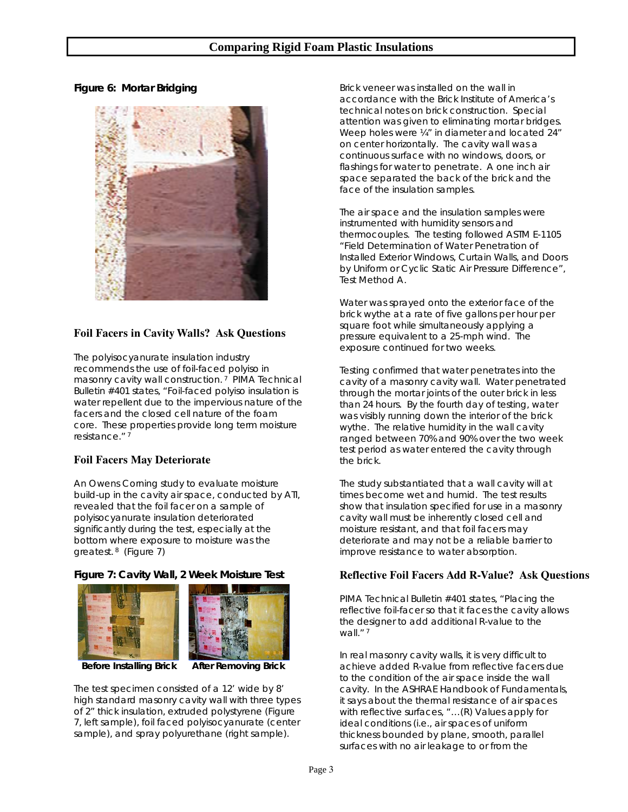### **Comparing Rigid Foam Plastic Insulations**

#### **Figure 6: Mortar Bridging**



### **Foil Facers in Cavity Walls? Ask Questions**

The polyisocyanurate insulation industry recommends the use of foil-faced polyiso in masonry cavity wall construction.<sup>7</sup> PIMA Technical Bulletin #401 states, "Foil-faced polyiso insulation is water repellent due to the impervious nature of the facers and the closed cell nature of the foam core. These properties provide long term moisture resistance." 7

### **Foil Facers May Deteriorate**

An Owens Corning study to evaluate moisture build-up in the cavity air space, conducted by ATI, revealed that the foil facer on a sample of polyisocyanurate insulation deteriorated significantly during the test, especially at the bottom where exposure to moisture was the greatest. 8 (Figure 7)

#### **Figure 7: Cavity Wall, 2 Week Moisture Test**





 **Before Installing Brick After Removing Brick** 

The test specimen consisted of a 12' wide by 8' high standard masonry cavity wall with three types of 2" thick insulation, extruded polystyrene (Figure 7, left sample), foil faced polyisocyanurate (center sample), and spray polyurethane (right sample).

Brick veneer was installed on the wall in accordance with the Brick Institute of America's technical notes on brick construction. Special attention was given to eliminating mortar bridges. Weep holes were  $\frac{1}{4}$ " in diameter and located 24" on center horizontally. The cavity wall was a continuous surface with no windows, doors, or flashings for water to penetrate. A one inch air space separated the back of the brick and the face of the insulation samples.

The air space and the insulation samples were instrumented with humidity sensors and thermocouples. The testing followed ASTM E-1105 "Field Determination of Water Penetration of Installed Exterior Windows, Curtain Walls, and Doors by Uniform or Cyclic Static Air Pressure Difference", Test Method A.

Water was sprayed onto the exterior face of the brick wythe at a rate of five gallons per hour per square foot while simultaneously applying a pressure equivalent to a 25-mph wind. The exposure continued for two weeks.

Testing confirmed that water penetrates into the cavity of a masonry cavity wall. Water penetrated through the mortar joints of the outer brick in less than 24 hours. By the fourth day of testing, water was visibly running down the interior of the brick wythe. The relative humidity in the wall cavity ranged between 70% and 90% over the two week test period as water entered the cavity through the brick.

The study substantiated that a wall cavity will at times become wet and humid. The test results show that insulation specified for use in a masonry cavity wall must be inherently closed cell and moisture resistant, and that foil facers may deteriorate and may not be a reliable barrier to improve resistance to water absorption.

### **Reflective Foil Facers Add R-Value? Ask Questions**

PIMA Technical Bulletin #401 states, "Placing the reflective foil-facer so that it faces the cavity allows the designer to add additional R-value to the wall."?

In real masonry cavity walls, it is very difficult to achieve added R-value from reflective facers due to the condition of the air space inside the wall cavity. In the ASHRAE Handbook of Fundamentals, it says about the thermal resistance of air spaces with reflective surfaces, "...(R) Values apply for ideal conditions (i.e., air spaces of uniform thickness bounded by plane, smooth, parallel surfaces with no air leakage to or from the